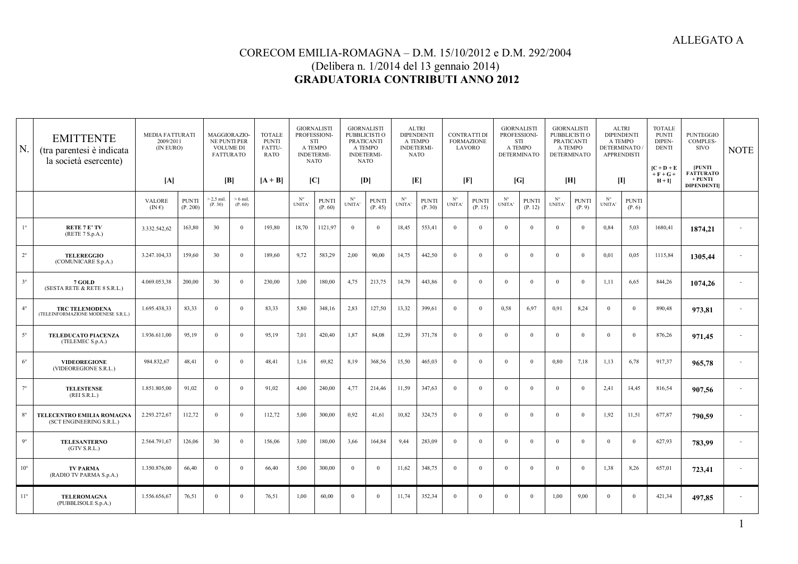1

## CORECOM EMILIA-ROMAGNA – D.M. 15/10/2012 e D.M. 292/2004 (Delibera n. 1/2014 del 13 gennaio 2014) **GRADUATORIA CONTRIBUTI ANNO 2012**

| N.           | <b>EMITTENTE</b><br>(tra parentesi è indicata<br>la società esercente) | <b>MEDIA FATTURATI</b><br>2009/2011<br>(IN EURO) |                          | MAGGIORAZIO-<br>NE PUNTI PER<br><b>VOLUME DI</b><br><b>FATTURATO</b> |                       | <b>TOTALE</b><br><b>PUNTI</b><br>FATTU-<br><b>RATO</b> | <b>GIORNALISTI</b><br>PROFESSIONI-<br><b>STI</b><br>A TEMPO<br><b>INDETERMI-</b><br><b>NATO</b> |                         | <b>GIORNALISTI</b><br>PUBBLICISTI O<br>PRATICANTI<br>A TEMPO<br><b>INDETERMI-</b><br><b>NATO</b> |                         | <b>ALTRI</b><br><b>DIPENDENT</b><br>A TEMPO<br><b>INDETERMI-</b><br><b>NATO</b> |                         | <b>CONTRATTI DI</b><br><b>FORMAZIONE</b><br>LAVORO |                         | <b>GIORNALISTI</b><br>PROFESSIONI-<br>STI<br>A TEMPO<br><b>DETERMINATO</b> |                         | <b>GIORNALISTI</b><br>PUBBLICISTI O<br>PRATICANTI<br>A TEMPO<br><b>DETERMINATO</b> |                        | <b>ALTRI</b><br><b>DIPENDENTI</b><br>A TEMPO<br><b>DETERMINATO</b><br><b>APPRENDISTI</b>                                                                                                                                                                                                                                                                                         |                        | <b>TOTALE</b><br><b>PUNTI</b><br>DIPEN-<br><b>DENTI</b><br>$[{\bf C} + {\bf D} + {\bf E}]$<br>$+ F + G +$ | <b>PUNTEGGIO</b><br>COMPLES-<br><b>SIVO</b><br><b>PUNTI</b><br><b>FATTURATO</b> | <b>NOTE</b> |
|--------------|------------------------------------------------------------------------|--------------------------------------------------|--------------------------|----------------------------------------------------------------------|-----------------------|--------------------------------------------------------|-------------------------------------------------------------------------------------------------|-------------------------|--------------------------------------------------------------------------------------------------|-------------------------|---------------------------------------------------------------------------------|-------------------------|----------------------------------------------------|-------------------------|----------------------------------------------------------------------------|-------------------------|------------------------------------------------------------------------------------|------------------------|----------------------------------------------------------------------------------------------------------------------------------------------------------------------------------------------------------------------------------------------------------------------------------------------------------------------------------------------------------------------------------|------------------------|-----------------------------------------------------------------------------------------------------------|---------------------------------------------------------------------------------|-------------|
|              |                                                                        | [A]                                              |                          | [B]                                                                  |                       | $[A + B]$                                              | [C]                                                                                             |                         | [D]                                                                                              |                         | [E]                                                                             |                         | [F]                                                |                         | [G]                                                                        |                         | [H]                                                                                |                        | $[1] % \centering \includegraphics[width=0.9\textwidth]{images/TrDiM-Architecture.png} \caption{The first two different values of $S$ and $S$ is the same as in Figure \ref{fig:13}. The first two different values of $S$ is the same as in Figure \ref{fig:13}. The second two different values of $S$ is the same as in Figure \ref{fig:13}.} \label{fig:TrDiM-Architecture}$ |                        | $H + I$                                                                                                   | $+$ PUNTI<br><b>DIPENDENTI</b>                                                  |             |
|              |                                                                        | <b>VALORE</b><br>$(IN \epsilon)$                 | <b>PUNTI</b><br>(P. 200) | $> 2.5$ mil<br>(P. 30)                                               | $> 6$ mil.<br>(P. 60) |                                                        | $N^{\circ}$<br><b>UNITA</b>                                                                     | <b>PUNTI</b><br>(P. 60) | $N^{\circ}$<br>UNITA'                                                                            | <b>PUNTI</b><br>(P. 45) | $N^{\circ}$<br>UNITA'                                                           | <b>PUNTI</b><br>(P. 30) | $N^{\circ}$<br><b>UNITA</b>                        | <b>PUNTI</b><br>(P. 15) | $N^{\circ}$<br>UNITA'                                                      | <b>PUNTI</b><br>(P. 12) | $N^{\circ}$<br><b>UNITA</b>                                                        | <b>PUNTI</b><br>(P, 9) | $N^{\circ}$<br><b>UNITA</b>                                                                                                                                                                                                                                                                                                                                                      | <b>PUNTI</b><br>(P. 6) |                                                                                                           |                                                                                 |             |
| $1^{\circ}$  | <b>RETE 7 E' TV</b><br>(RETE 7 S.p.A.)                                 | 3.332.542.62                                     | 163,80                   | 30                                                                   | $\Omega$              | 193,80                                                 | 18,70                                                                                           | 1121,97                 | $\Omega$                                                                                         | $\overline{0}$          | 18,45                                                                           | 553,41                  | $\Omega$                                           | $\Omega$                | $\Omega$                                                                   | $\Omega$                | $\theta$                                                                           | $\Omega$               | 0.84                                                                                                                                                                                                                                                                                                                                                                             | 5,03                   | 1680,41                                                                                                   | 1874,21                                                                         |             |
| $2^{\circ}$  | <b>TELEREGGIO</b><br>(COMUNICARE S.p.A.)                               | 3.247.104,33                                     | 159,60                   | 30                                                                   | $\Omega$              | 189,60                                                 | 9,72                                                                                            | 583,29                  | 2,00                                                                                             | 90,00                   | 14,75                                                                           | 442,50                  | $\Omega$                                           | $\Omega$                | $\theta$                                                                   | $\Omega$                | $\Omega$                                                                           | $\Omega$               | 0.01                                                                                                                                                                                                                                                                                                                                                                             | 0,05                   | 1115,84                                                                                                   | 1305,44                                                                         |             |
| $3^\circ$    | 7 GOLD<br>(SESTA RETE & RETE 8 S.R.L.)                                 | 4.069.053,38                                     | 200,00                   | 30                                                                   | $\Omega$              | 230,00                                                 | 3,00                                                                                            | 180,00                  | 4,75                                                                                             | 213,75                  | 14,79                                                                           | 443,86                  | $\Omega$                                           | $\Omega$                | $\Omega$                                                                   | $\Omega$                | $\overline{0}$                                                                     | $\Omega$               | 1,11                                                                                                                                                                                                                                                                                                                                                                             | 6,65                   | 844,26                                                                                                    | 1074,26                                                                         |             |
| $4^{\circ}$  | <b>TRC TELEMODENA</b><br>(TELEINFORMAZIONE MODENESE S.R.L.)            | 1.695.438,33                                     | 83,33                    | $\overline{0}$                                                       | $\Omega$              | 83,33                                                  | 5.80                                                                                            | 348,16                  | 2,83                                                                                             | 127,50                  | 13,32                                                                           | 399,61                  | $\theta$                                           | $\Omega$                | 0.58                                                                       | 6.97                    | 0,91                                                                               | 8,24                   | $\Omega$                                                                                                                                                                                                                                                                                                                                                                         | $\overline{0}$         | 890,48                                                                                                    | 973,81                                                                          |             |
| $5^\circ$    | TELEDUCATO PIACENZA<br>(TELEMEC S.p.A.)                                | 1.936.611.00                                     | 95,19                    | $\theta$                                                             | $\Omega$              | 95,19                                                  | 7,01                                                                                            | 420,40                  | 1,87                                                                                             | 84,08                   | 12,39                                                                           | 371,78                  | $\theta$                                           | $\Omega$                | $\theta$                                                                   | $\Omega$                | $\theta$                                                                           | $\Omega$               | $\Omega$                                                                                                                                                                                                                                                                                                                                                                         | $\Omega$               | 876,26                                                                                                    | 971,45                                                                          |             |
| $6^{\circ}$  | <b>VIDEOREGIONE</b><br>(VIDEOREGIONE S.R.L.)                           | 984.832,67                                       | 48,41                    | $\Omega$                                                             | $\Omega$              | 48,41                                                  | 1,16                                                                                            | 69,82                   | 8,19                                                                                             | 368,56                  | 15,50                                                                           | 465,03                  | $\Omega$                                           | $\Omega$                | $\theta$                                                                   | $\Omega$                | 0.80                                                                               | 7,18                   | 1.13                                                                                                                                                                                                                                                                                                                                                                             | 6,78                   | 917,37                                                                                                    | 965,78                                                                          |             |
| $7^\circ$    | <b>TELESTENSE</b><br>(REI S.R.L.)                                      | 1.851.805,00                                     | 91,02                    | $\mathbf{0}$                                                         | $\Omega$              | 91,02                                                  | 4.00                                                                                            | 240,00                  | 4,77                                                                                             | 214,46                  | 11,59                                                                           | 347,63                  | $\theta$                                           | $\Omega$                | $\Omega$                                                                   | $\Omega$                | $\overline{0}$                                                                     | $\Omega$               | 2,41                                                                                                                                                                                                                                                                                                                                                                             | 14,45                  | 816,54                                                                                                    | 907,56                                                                          |             |
| $8^{\circ}$  | TELECENTRO EMILIA ROMAGNA<br>(SCT ENGINEERING S.R.L.)                  | 2.293.272,67                                     | 112,72                   | $\mathbf{0}$                                                         | $\Omega$              | 112,72                                                 | 5.00                                                                                            | 300,00                  | 0,92                                                                                             | 41,61                   | 10,82                                                                           | 324,75                  | $\Omega$                                           | $\Omega$                | $\theta$                                                                   | $\Omega$                | $\overline{0}$                                                                     | $\Omega$               | 1.92                                                                                                                                                                                                                                                                                                                                                                             | 11,51                  | 677,87                                                                                                    | 790,59                                                                          |             |
| $9^\circ$    | <b>TELESANTERNO</b><br>(GTV S.R.L.)                                    | 2.564.791.67                                     | 126,06                   | 30                                                                   | $\Omega$              | 156,06                                                 | 3.00                                                                                            | 180,00                  | 3,66                                                                                             | 164,84                  | 9,44                                                                            | 283,09                  | $\theta$                                           | $\Omega$                | $\Omega$                                                                   | $\Omega$                | $\Omega$                                                                           | $\theta$               | $\Omega$                                                                                                                                                                                                                                                                                                                                                                         | $\mathbf{0}$           | 627,93                                                                                                    | 783,99                                                                          |             |
| $10^{\circ}$ | <b>TV PARMA</b><br>(RADIO TV PARMA S.p.A.)                             | 1.350.876.00                                     | 66.40                    | $\Omega$                                                             | $\Omega$              | 66,40                                                  | 5.00                                                                                            | 300,00                  | $\Omega$                                                                                         | $\overline{0}$          | 11,62                                                                           | 348,75                  | $\Omega$                                           | $\Omega$                | $\theta$                                                                   | $\Omega$                | $\Omega$                                                                           | $\Omega$               | 1.38                                                                                                                                                                                                                                                                                                                                                                             | 8,26                   | 657,01                                                                                                    | 723,41                                                                          |             |
| $11^{\circ}$ | <b>TELEROMAGNA</b><br>(PUBBLISOLE S.p.A.)                              | 1.556.656,67                                     | 76,51                    | $\theta$                                                             | $\mathbf{0}$          | 76,51                                                  | 1.00                                                                                            | 60,00                   | $\Omega$                                                                                         | $\overline{0}$          | 11,74                                                                           | 352,34                  | $\Omega$                                           | $\theta$                | $\Omega$                                                                   | $\Omega$                | 1,00                                                                               | 9,00                   | $\Omega$                                                                                                                                                                                                                                                                                                                                                                         | $\overline{0}$         | 421,34                                                                                                    | 497.85                                                                          |             |